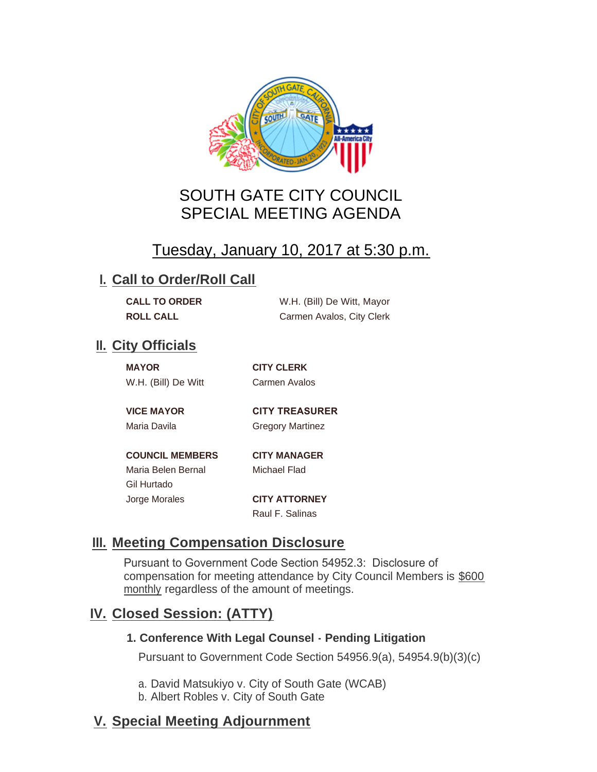

# SOUTH GATE CITY COUNCIL SPECIAL MEETING AGENDA

# Tuesday, January 10, 2017 at 5:30 p.m.

#### **I. Call to Order/Roll Call**

| <b>CALL TO ORDER</b> | W.H. (Bill) De Witt, Mayor |
|----------------------|----------------------------|
| <b>ROLL CALL</b>     | Carmen Avalos, City Clerk  |

### **II.** City Officials

| <b>MAYOR</b>        |  |
|---------------------|--|
| W.H. (Bill) De Witt |  |

**MAYOR CITY CLERK** Carmen Avalos

**VICE MAYOR CITY TREASURER** 

Maria Davila **Gregory Martinez** 

**COUNCIL MEMBERS CITY MANAGER** Maria Belen Bernal Michael Flad Gil Hurtado Jorge Morales **CITY ATTORNEY**

Raul F. Salinas

# **Meeting Compensation Disclosure III.**

Pursuant to Government Code Section 54952.3: Disclosure of compensation for meeting attendance by City Council Members is \$600 monthly regardless of the amount of meetings.

### **Closed Session: (ATTY) IV.**

#### **1. Conference With Legal Counsel - Pending Litigation**

Pursuant to Government Code Section 54956.9(a), 54954.9(b)(3)(c)

a. David Matsukiyo v. City of South Gate (WCAB)

b. Albert Robles v. City of South Gate

# **Special Meeting Adjournment V.**